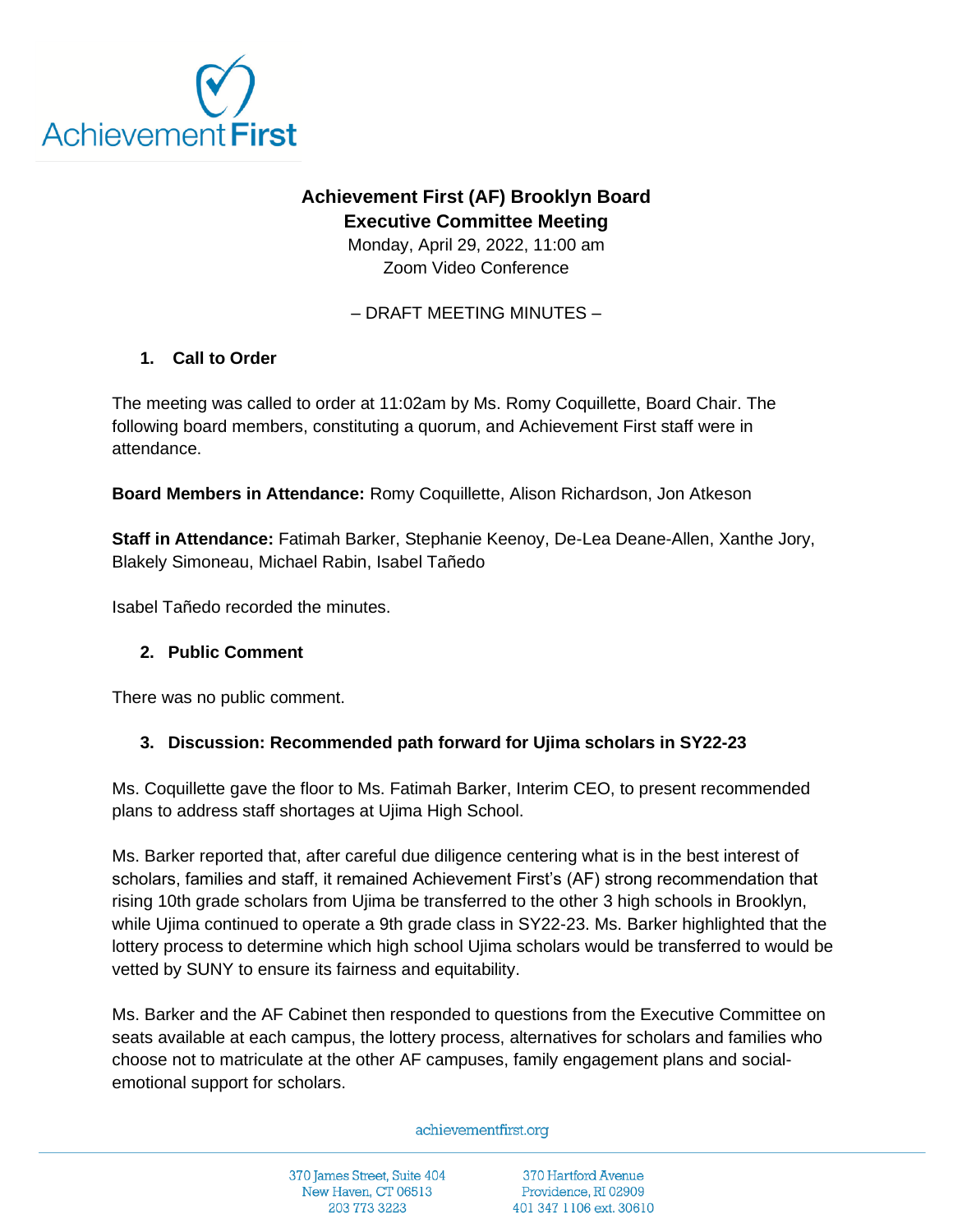

# **Achievement First (AF) Brooklyn Board Executive Committee Meeting**

Monday, April 29, 2022, 11:00 am Zoom Video Conference

– DRAFT MEETING MINUTES –

## **1. Call to Order**

The meeting was called to order at 11:02am by Ms. Romy Coquillette, Board Chair. The following board members, constituting a quorum, and Achievement First staff were in attendance.

**Board Members in Attendance:** Romy Coquillette, Alison Richardson, Jon Atkeson

**Staff in Attendance:** Fatimah Barker, Stephanie Keenoy, De-Lea Deane-Allen, Xanthe Jory, Blakely Simoneau, Michael Rabin, Isabel Tañedo

Isabel Tañedo recorded the minutes.

### **2. Public Comment**

There was no public comment.

### **3. Discussion: Recommended path forward for Ujima scholars in SY22-23**

Ms. Coquillette gave the floor to Ms. Fatimah Barker, Interim CEO, to present recommended plans to address staff shortages at Ujima High School.

Ms. Barker reported that, after careful due diligence centering what is in the best interest of scholars, families and staff, it remained Achievement First's (AF) strong recommendation that rising 10th grade scholars from Ujima be transferred to the other 3 high schools in Brooklyn, while Ujima continued to operate a 9th grade class in SY22-23. Ms. Barker highlighted that the lottery process to determine which high school Ujima scholars would be transferred to would be vetted by SUNY to ensure its fairness and equitability.

Ms. Barker and the AF Cabinet then responded to questions from the Executive Committee on seats available at each campus, the lottery process, alternatives for scholars and families who choose not to matriculate at the other AF campuses, family engagement plans and socialemotional support for scholars.

#### achievementfirst.org

370 James Street, Suite 404 New Haven, CT 06513 203 773 3223

370 Hartford Avenue Providence, RI 02909 401 347 1106 ext. 30610